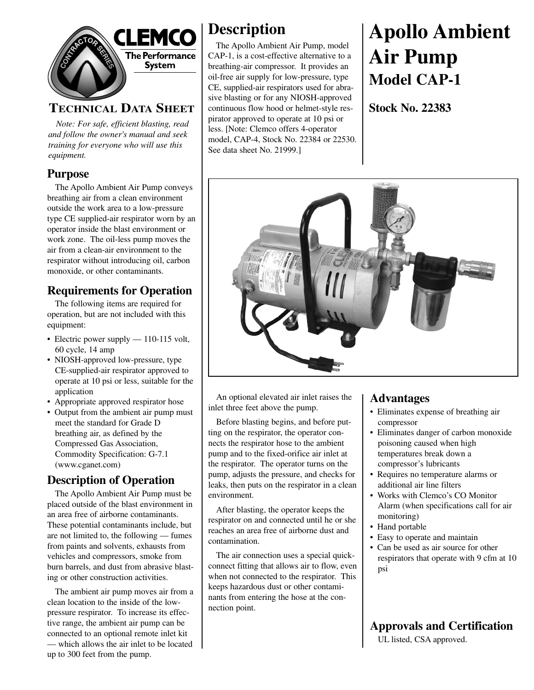

#### **TECHNICAL DATA SHEET**

*Note: For safe, efficient blasting, read and follow the owner's manual and seek training for everyone who will use this equipment.*

#### **Purpose**

The Apollo Ambient Air Pump conveys breathing air from a clean environment outside the work area to a low-pressure type CE supplied-air respirator worn by an operator inside the blast environment or work zone. The oil-less pump moves the air from a clean-air environment to the respirator without introducing oil, carbon monoxide, or other contaminants.

#### **Requirements for Operation**

The following items are required for operation, but are not included with this equipment:

- Electric power supply 110-115 volt, 60 cycle, 14 amp
- NIOSH-approved low-pressure, type CE-supplied-air respirator approved to operate at 10 psi or less, suitable for the application
- Appropriate approved respirator hose
- Output from the ambient air pump must meet the standard for Grade D breathing air, as defined by the Compressed Gas Association, Commodity Specification: G-7.1 (www.cganet.com)

#### **Description of Operation**

The Apollo Ambient Air Pump must be placed outside of the blast environment in an area free of airborne contaminants. These potential contaminants include, but are not limited to, the following — fumes from paints and solvents, exhausts from vehicles and compressors, smoke from burn barrels, and dust from abrasive blasting or other construction activities.

The ambient air pump moves air from a clean location to the inside of the lowpressure respirator. To increase its effective range, the ambient air pump can be connected to an optional remote inlet kit — which allows the air inlet to be located up to 300 feet from the pump.

# **Description**

The Apollo Ambient Air Pump, model CAP-1, is a cost-effective alternative to a breathing-air compressor. It provides an oil-free air supply for low-pressure, type CE, supplied-air respirators used for abrasive blasting or for any NIOSH-approved continuous flow hood or helmet-style respirator approved to operate at 10 psi or less. [Note: Clemco offers 4-operator model, CAP-4, Stock No. 22384 or 22530. See data sheet No. 21999.]

# **Apollo Ambient Air Pump Model CAP-1**

**Stock No. 22383**



An optional elevated air inlet raises the inlet three feet above the pump.

Before blasting begins, and before putting on the respirator, the operator connects the respirator hose to the ambient pump and to the fixed-orifice air inlet at the respirator. The operator turns on the pump, adjusts the pressure, and checks for leaks, then puts on the respirator in a clean environment.

After blasting, the operator keeps the respirator on and connected until he or she reaches an area free of airborne dust and contamination.

The air connection uses a special quickconnect fitting that allows air to flow, even when not connected to the respirator. This keeps hazardous dust or other contaminants from entering the hose at the connection point.

#### **Advantages**

- Eliminates expense of breathing air compressor
- Eliminates danger of carbon monoxide poisoning caused when high temperatures break down a compressor's lubricants
- Requires no temperature alarms or additional air line filters
- Works with Clemco's CO Monitor Alarm (when specifications call for air monitoring)
- Hand portable
- Easy to operate and maintain
- Can be used as air source for other respirators that operate with 9 cfm at 10 psi

**Approvals and Certification**

UL listed, CSA approved.